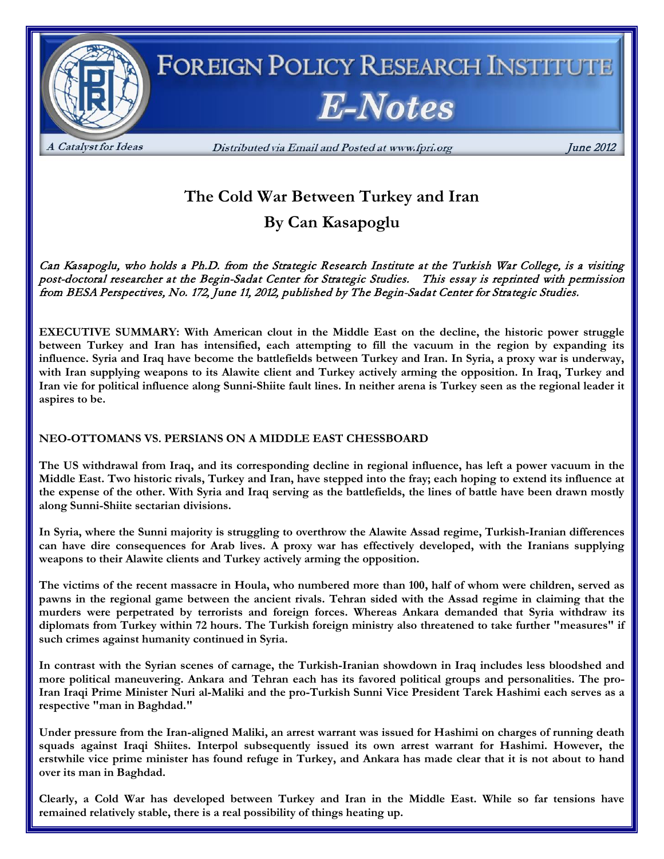

# **The Cold War Between Turkey and Iran**

**By Can Kasapoglu**

Can Kasapoglu, who holds a Ph.D. from the Strategic Research Institute at the Turkish War College, is a visiting post-doctoral researcher at the Begin-Sadat Center for Strategic Studies. This essay is reprinted with permission from BESA Perspectives, No. 172, June 11, 2012, published by The Begin-Sadat Center for Strategic Studies.

**EXECUTIVE SUMMARY: With American clout in the Middle East on the decline, the historic power struggle between Turkey and Iran has intensified, each attempting to fill the vacuum in the region by expanding its influence. Syria and Iraq have become the battlefields between Turkey and Iran. In Syria, a proxy war is underway, with Iran supplying weapons to its Alawite client and Turkey actively arming the opposition. In Iraq, Turkey and Iran vie for political influence along Sunni-Shiite fault lines. In neither arena is Turkey seen as the regional leader it aspires to be.**

## **NEO-OTTOMANS VS. PERSIANS ON A MIDDLE EAST CHESSBOARD**

**The US withdrawal from Iraq, and its corresponding decline in regional influence, has left a power vacuum in the Middle East. Two historic rivals, Turkey and Iran, have stepped into the fray; each hoping to extend its influence at the expense of the other. With Syria and Iraq serving as the battlefields, the lines of battle have been drawn mostly along Sunni-Shiite sectarian divisions.**

**In Syria, where the Sunni majority is struggling to overthrow the Alawite Assad regime, Turkish-Iranian differences can have dire consequences for Arab lives. A proxy war has effectively developed, with the Iranians supplying weapons to their Alawite clients and Turkey actively arming the opposition.**

**The victims of the recent massacre in Houla, who numbered more than 100, half of whom were children, served as pawns in the regional game between the ancient rivals. Tehran sided with the Assad regime in claiming that the murders were perpetrated by terrorists and foreign forces. Whereas Ankara demanded that Syria withdraw its diplomats from Turkey within 72 hours. The Turkish foreign ministry also threatened to take further "measures" if such crimes against humanity continued in Syria.**

**In contrast with the Syrian scenes of carnage, the Turkish-Iranian showdown in Iraq includes less bloodshed and more political maneuvering. Ankara and Tehran each has its favored political groups and personalities. The pro-Iran Iraqi Prime Minister Nuri al-Maliki and the pro-Turkish Sunni Vice President Tarek Hashimi each serves as a respective "man in Baghdad."**

**Under pressure from the Iran-aligned Maliki, an arrest warrant was issued for Hashimi on charges of running death squads against Iraqi Shiites. Interpol subsequently issued its own arrest warrant for Hashimi. However, the erstwhile vice prime minister has found refuge in Turkey, and Ankara has made clear that it is not about to hand over its man in Baghdad.**

**Clearly, a Cold War has developed between Turkey and Iran in the Middle East. While so far tensions have remained relatively stable, there is a real possibility of things heating up.**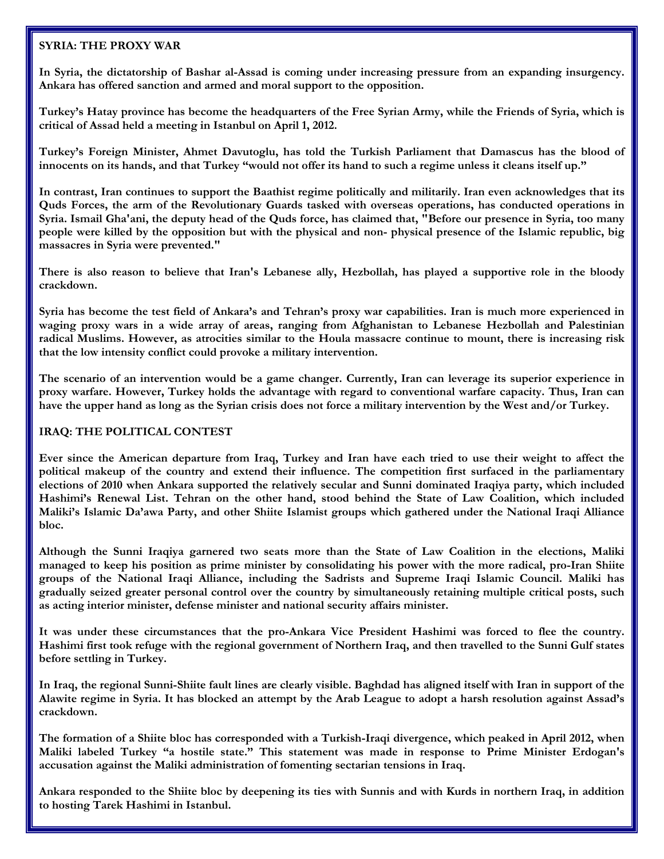#### **SYRIA: THE PROXY WAR**

**In Syria, the dictatorship of Bashar al-Assad is coming under increasing pressure from an expanding insurgency. Ankara has offered sanction and armed and moral support to the opposition.**

**Turkey's Hatay province has become the headquarters of the Free Syrian Army, while the Friends of Syria, which is critical of Assad held a meeting in Istanbul on April 1, 2012.**

**Turkey's Foreign Minister, Ahmet Davutoglu, has told the Turkish Parliament that Damascus has the blood of innocents on its hands, and that Turkey "would not offer its hand to such a regime unless it cleans itself up."**

**In contrast, Iran continues to support the Baathist regime politically and militarily. Iran even acknowledges that its Quds Forces, the arm of the Revolutionary Guards tasked with overseas operations, has conducted operations in Syria. Ismail Gha'ani, the deputy head of the Quds force, has claimed that, "Before our presence in Syria, too many people were killed by the opposition but with the physical and non- physical presence of the Islamic republic, big massacres in Syria were prevented."**

**There is also reason to believe that Iran's Lebanese ally, Hezbollah, has played a supportive role in the bloody crackdown.**

**Syria has become the test field of Ankara's and Tehran's proxy war capabilities. Iran is much more experienced in waging proxy wars in a wide array of areas, ranging from Afghanistan to Lebanese Hezbollah and Palestinian radical Muslims. However, as atrocities similar to the Houla massacre continue to mount, there is increasing risk that the low intensity conflict could provoke a military intervention.**

**The scenario of an intervention would be a game changer. Currently, Iran can leverage its superior experience in proxy warfare. However, Turkey holds the advantage with regard to conventional warfare capacity. Thus, Iran can have the upper hand as long as the Syrian crisis does not force a military intervention by the West and/or Turkey.**

## **IRAQ: THE POLITICAL CONTEST**

**Ever since the American departure from Iraq, Turkey and Iran have each tried to use their weight to affect the political makeup of the country and extend their influence. The competition first surfaced in the parliamentary elections of 2010 when Ankara supported the relatively secular and Sunni dominated Iraqiya party, which included Hashimi's Renewal List. Tehran on the other hand, stood behind the State of Law Coalition, which included Maliki's Islamic Da'awa Party, and other Shiite Islamist groups which gathered under the National Iraqi Alliance bloc.**

**Although the Sunni Iraqiya garnered two seats more than the State of Law Coalition in the elections, Maliki managed to keep his position as prime minister by consolidating his power with the more radical, pro-Iran Shiite groups of the National Iraqi Alliance, including the Sadrists and Supreme Iraqi Islamic Council. Maliki has gradually seized greater personal control over the country by simultaneously retaining multiple critical posts, such as acting interior minister, defense minister and national security affairs minister.**

**It was under these circumstances that the pro-Ankara Vice President Hashimi was forced to flee the country. Hashimi first took refuge with the regional government of Northern Iraq, and then travelled to the Sunni Gulf states before settling in Turkey.**

**In Iraq, the regional Sunni-Shiite fault lines are clearly visible. Baghdad has aligned itself with Iran in support of the Alawite regime in Syria. It has blocked an attempt by the Arab League to adopt a harsh resolution against Assad's crackdown.**

**The formation of a Shiite bloc has corresponded with a Turkish-Iraqi divergence, which peaked in April 2012, when Maliki labeled Turkey "a hostile state." This statement was made in response to Prime Minister Erdogan's accusation against the Maliki administration of fomenting sectarian tensions in Iraq.**

**Ankara responded to the Shiite bloc by deepening its ties with Sunnis and with Kurds in northern Iraq, in addition to hosting Tarek Hashimi in Istanbul.**